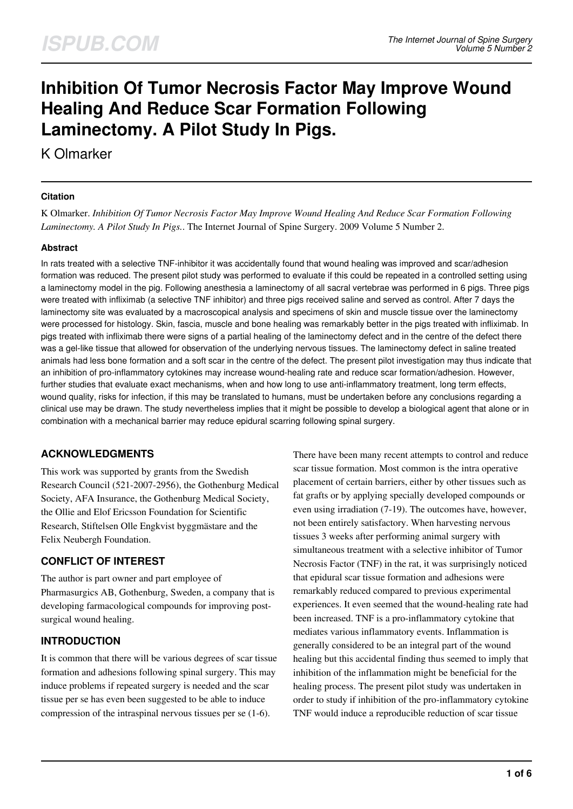# **Inhibition Of Tumor Necrosis Factor May Improve Wound Healing And Reduce Scar Formation Following Laminectomy. A Pilot Study In Pigs.**

K Olmarker

### **Citation**

K Olmarker. *Inhibition Of Tumor Necrosis Factor May Improve Wound Healing And Reduce Scar Formation Following Laminectomy. A Pilot Study In Pigs.*. The Internet Journal of Spine Surgery. 2009 Volume 5 Number 2.

### **Abstract**

In rats treated with a selective TNF-inhibitor it was accidentally found that wound healing was improved and scar/adhesion formation was reduced. The present pilot study was performed to evaluate if this could be repeated in a controlled setting using a laminectomy model in the pig. Following anesthesia a laminectomy of all sacral vertebrae was performed in 6 pigs. Three pigs were treated with infliximab (a selective TNF inhibitor) and three pigs received saline and served as control. After 7 days the laminectomy site was evaluated by a macroscopical analysis and specimens of skin and muscle tissue over the laminectomy were processed for histology. Skin, fascia, muscle and bone healing was remarkably better in the pigs treated with infliximab. In pigs treated with infliximab there were signs of a partial healing of the laminectomy defect and in the centre of the defect there was a gel-like tissue that allowed for observation of the underlying nervous tissues. The laminectomy defect in saline treated animals had less bone formation and a soft scar in the centre of the defect. The present pilot investigation may thus indicate that an inhibition of pro-inflammatory cytokines may increase wound-healing rate and reduce scar formation/adhesion. However, further studies that evaluate exact mechanisms, when and how long to use anti-inflammatory treatment, long term effects, wound quality, risks for infection, if this may be translated to humans, must be undertaken before any conclusions regarding a clinical use may be drawn. The study nevertheless implies that it might be possible to develop a biological agent that alone or in combination with a mechanical barrier may reduce epidural scarring following spinal surgery.

# **ACKNOWLEDGMENTS**

This work was supported by grants from the Swedish Research Council (521-2007-2956), the Gothenburg Medical Society, AFA Insurance, the Gothenburg Medical Society, the Ollie and Elof Ericsson Foundation for Scientific Research, Stiftelsen Olle Engkvist byggmästare and the Felix Neubergh Foundation.

### **CONFLICT OF INTEREST**

The author is part owner and part employee of Pharmasurgics AB, Gothenburg, Sweden, a company that is developing farmacological compounds for improving postsurgical wound healing.

# **INTRODUCTION**

It is common that there will be various degrees of scar tissue formation and adhesions following spinal surgery. This may induce problems if repeated surgery is needed and the scar tissue per se has even been suggested to be able to induce compression of the intraspinal nervous tissues per se (1-6).

There have been many recent attempts to control and reduce scar tissue formation. Most common is the intra operative placement of certain barriers, either by other tissues such as fat grafts or by applying specially developed compounds or even using irradiation (7-19). The outcomes have, however, not been entirely satisfactory. When harvesting nervous tissues 3 weeks after performing animal surgery with simultaneous treatment with a selective inhibitor of Tumor Necrosis Factor (TNF) in the rat, it was surprisingly noticed that epidural scar tissue formation and adhesions were remarkably reduced compared to previous experimental experiences. It even seemed that the wound-healing rate had been increased. TNF is a pro-inflammatory cytokine that mediates various inflammatory events. Inflammation is generally considered to be an integral part of the wound healing but this accidental finding thus seemed to imply that inhibition of the inflammation might be beneficial for the healing process. The present pilot study was undertaken in order to study if inhibition of the pro-inflammatory cytokine TNF would induce a reproducible reduction of scar tissue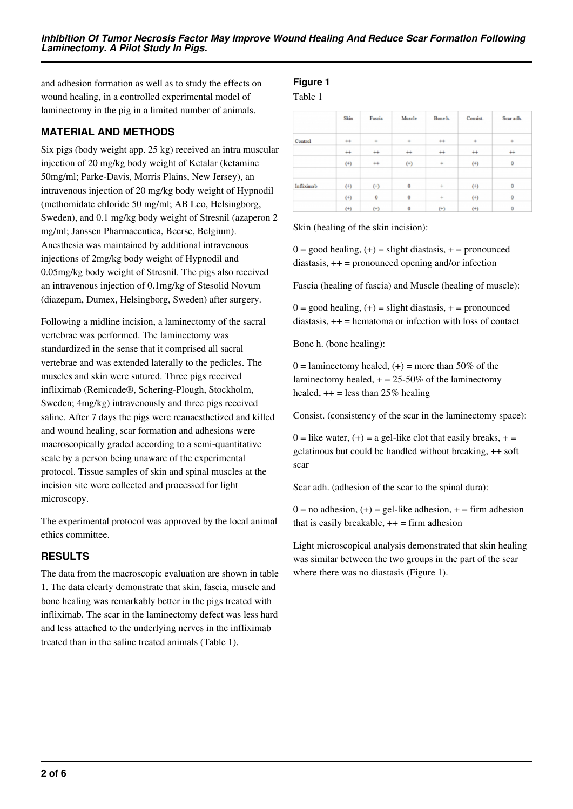and adhesion formation as well as to study the effects on wound healing, in a controlled experimental model of laminectomy in the pig in a limited number of animals.

## **MATERIAL AND METHODS**

Six pigs (body weight app. 25 kg) received an intra muscular injection of 20 mg/kg body weight of Ketalar (ketamine 50mg/ml; Parke-Davis, Morris Plains, New Jersey), an intravenous injection of 20 mg/kg body weight of Hypnodil (methomidate chloride 50 mg/ml; AB Leo, Helsingborg, Sweden), and 0.1 mg/kg body weight of Stresnil (azaperon 2 mg/ml; Janssen Pharmaceutica, Beerse, Belgium). Anesthesia was maintained by additional intravenous injections of 2mg/kg body weight of Hypnodil and 0.05mg/kg body weight of Stresnil. The pigs also received an intravenous injection of 0.1mg/kg of Stesolid Novum (diazepam, Dumex, Helsingborg, Sweden) after surgery.

Following a midline incision, a laminectomy of the sacral vertebrae was performed. The laminectomy was standardized in the sense that it comprised all sacral vertebrae and was extended laterally to the pedicles. The muscles and skin were sutured. Three pigs received infliximab (Remicade®, Schering-Plough, Stockholm, Sweden; 4mg/kg) intravenously and three pigs received saline. After 7 days the pigs were reanaesthetized and killed and wound healing, scar formation and adhesions were macroscopically graded according to a semi-quantitative scale by a person being unaware of the experimental protocol. Tissue samples of skin and spinal muscles at the incision site were collected and processed for light microscopy.

The experimental protocol was approved by the local animal ethics committee.

### **RESULTS**

The data from the macroscopic evaluation are shown in table 1. The data clearly demonstrate that skin, fascia, muscle and bone healing was remarkably better in the pigs treated with infliximab. The scar in the laminectomy defect was less hard and less attached to the underlying nerves in the infliximab treated than in the saline treated animals (Table 1).

# **Figure 1**

Table 1

|            | Skin     | Fascia   | Muscle   | Bone h.   | Consist. | Scar adh. |
|------------|----------|----------|----------|-----------|----------|-----------|
| Control    | $^{++}$  | ÷        | ÷        | $^{++}$   |          | ۰         |
|            | $^{+}$   | $^{+}$   | $^{++}$  | $^{++}$   | $^{+}$   | $^{+}$    |
|            | $^{(+)}$ | $^{++}$  | $^{(+)}$ |           | $^{(+)}$ | 0         |
| Infliximab | $^{(+)}$ | $^{(+)}$ | 0        | $\ddot{}$ | $^{(+)}$ | 0         |
|            | $^{(+)}$ | 0        | 0        | ÷         | $^{(+)}$ | 0         |
|            | $^{(+)}$ | $^{(+)}$ | 0        | $^{(+)}$  | $^{(+)}$ | 0         |

Skin (healing of the skin incision):

 $0 =$  good healing,  $(+) =$  slight diastasis,  $+ =$  pronounced diastasis, ++ = pronounced opening and/or infection

Fascia (healing of fascia) and Muscle (healing of muscle):

 $0 =$  good healing,  $(+) =$  slight diastasis,  $+ =$  pronounced diastasis, ++ = hematoma or infection with loss of contact

Bone h. (bone healing):

 $0 =$  laminectomy healed,  $(+) =$  more than 50% of the laminectomy healed,  $+ = 25-50\%$  of the laminectomy healed,  $++$  = less than 25% healing

Consist. (consistency of the scar in the laminectomy space):

 $0 =$  like water,  $(+) = a$  gel-like clot that easily breaks,  $+ =$ gelatinous but could be handled without breaking, ++ soft scar

Scar adh. (adhesion of the scar to the spinal dura):

 $0 =$  no adhesion,  $(+) =$  gel-like adhesion,  $+ =$  firm adhesion that is easily breakable,  $++ =$  firm adhesion

Light microscopical analysis demonstrated that skin healing was similar between the two groups in the part of the scar where there was no diastasis (Figure 1).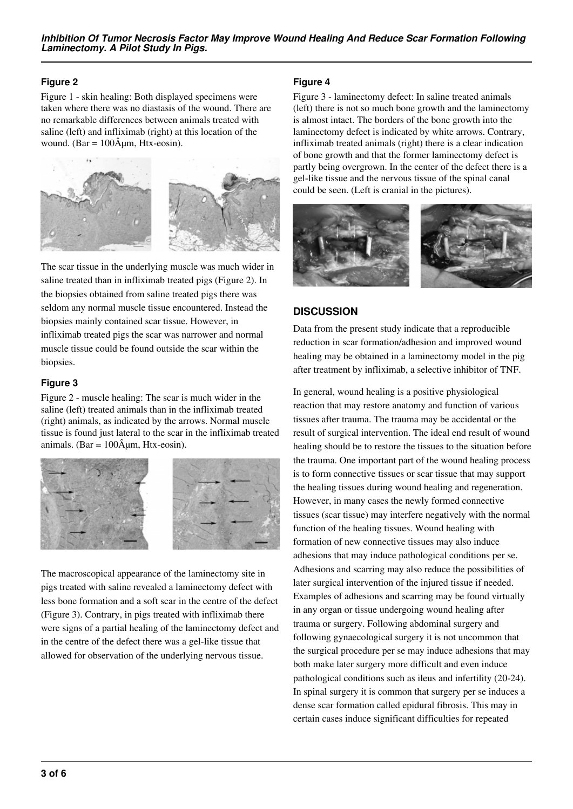### **Figure 2**

Figure 1 - skin healing: Both displayed specimens were taken where there was no diastasis of the wound. There are no remarkable differences between animals treated with saline (left) and infliximab (right) at this location of the wound. (Bar =  $100\text{\AA}$ um, Htx-eosin).



The scar tissue in the underlying muscle was much wider in saline treated than in infliximab treated pigs (Figure 2). In the biopsies obtained from saline treated pigs there was seldom any normal muscle tissue encountered. Instead the biopsies mainly contained scar tissue. However, in infliximab treated pigs the scar was narrower and normal muscle tissue could be found outside the scar within the biopsies.

### **Figure 3**

Figure 2 - muscle healing: The scar is much wider in the saline (left) treated animals than in the infliximab treated (right) animals, as indicated by the arrows. Normal muscle tissue is found just lateral to the scar in the infliximab treated animals. (Bar =  $100\text{\AA}$ µm, Htx-eosin).



The macroscopical appearance of the laminectomy site in pigs treated with saline revealed a laminectomy defect with less bone formation and a soft scar in the centre of the defect (Figure 3). Contrary, in pigs treated with infliximab there were signs of a partial healing of the laminectomy defect and in the centre of the defect there was a gel-like tissue that allowed for observation of the underlying nervous tissue.

## **Figure 4**

Figure 3 - laminectomy defect: In saline treated animals (left) there is not so much bone growth and the laminectomy is almost intact. The borders of the bone growth into the laminectomy defect is indicated by white arrows. Contrary, infliximab treated animals (right) there is a clear indication of bone growth and that the former laminectomy defect is partly being overgrown. In the center of the defect there is a gel-like tissue and the nervous tissue of the spinal canal could be seen. (Left is cranial in the pictures).



# **DISCUSSION**

Data from the present study indicate that a reproducible reduction in scar formation/adhesion and improved wound healing may be obtained in a laminectomy model in the pig after treatment by infliximab, a selective inhibitor of TNF.

In general, wound healing is a positive physiological reaction that may restore anatomy and function of various tissues after trauma. The trauma may be accidental or the result of surgical intervention. The ideal end result of wound healing should be to restore the tissues to the situation before the trauma. One important part of the wound healing process is to form connective tissues or scar tissue that may support the healing tissues during wound healing and regeneration. However, in many cases the newly formed connective tissues (scar tissue) may interfere negatively with the normal function of the healing tissues. Wound healing with formation of new connective tissues may also induce adhesions that may induce pathological conditions per se. Adhesions and scarring may also reduce the possibilities of later surgical intervention of the injured tissue if needed. Examples of adhesions and scarring may be found virtually in any organ or tissue undergoing wound healing after trauma or surgery. Following abdominal surgery and following gynaecological surgery it is not uncommon that the surgical procedure per se may induce adhesions that may both make later surgery more difficult and even induce pathological conditions such as ileus and infertility (20-24). In spinal surgery it is common that surgery per se induces a dense scar formation called epidural fibrosis. This may in certain cases induce significant difficulties for repeated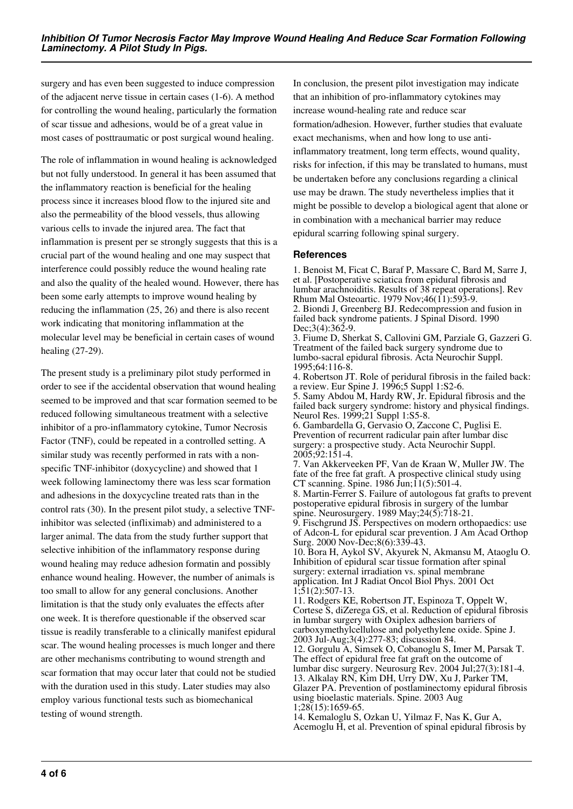surgery and has even been suggested to induce compression of the adjacent nerve tissue in certain cases (1-6). A method for controlling the wound healing, particularly the formation of scar tissue and adhesions, would be of a great value in most cases of posttraumatic or post surgical wound healing.

The role of inflammation in wound healing is acknowledged but not fully understood. In general it has been assumed that the inflammatory reaction is beneficial for the healing process since it increases blood flow to the injured site and also the permeability of the blood vessels, thus allowing various cells to invade the injured area. The fact that inflammation is present per se strongly suggests that this is a crucial part of the wound healing and one may suspect that interference could possibly reduce the wound healing rate and also the quality of the healed wound. However, there has been some early attempts to improve wound healing by reducing the inflammation (25, 26) and there is also recent work indicating that monitoring inflammation at the molecular level may be beneficial in certain cases of wound healing (27-29).

The present study is a preliminary pilot study performed in order to see if the accidental observation that wound healing seemed to be improved and that scar formation seemed to be reduced following simultaneous treatment with a selective inhibitor of a pro-inflammatory cytokine, Tumor Necrosis Factor (TNF), could be repeated in a controlled setting. A similar study was recently performed in rats with a nonspecific TNF-inhibitor (doxycycline) and showed that 1 week following laminectomy there was less scar formation and adhesions in the doxycycline treated rats than in the control rats (30). In the present pilot study, a selective TNFinhibitor was selected (infliximab) and administered to a larger animal. The data from the study further support that selective inhibition of the inflammatory response during wound healing may reduce adhesion formatin and possibly enhance wound healing. However, the number of animals is too small to allow for any general conclusions. Another limitation is that the study only evaluates the effects after one week. It is therefore questionable if the observed scar tissue is readily transferable to a clinically manifest epidural scar. The wound healing processes is much longer and there are other mechanisms contributing to wound strength and scar formation that may occur later that could not be studied with the duration used in this study. Later studies may also employ various functional tests such as biomechanical testing of wound strength.

In conclusion, the present pilot investigation may indicate that an inhibition of pro-inflammatory cytokines may increase wound-healing rate and reduce scar formation/adhesion. However, further studies that evaluate exact mechanisms, when and how long to use antiinflammatory treatment, long term effects, wound quality, risks for infection, if this may be translated to humans, must be undertaken before any conclusions regarding a clinical use may be drawn. The study nevertheless implies that it might be possible to develop a biological agent that alone or in combination with a mechanical barrier may reduce epidural scarring following spinal surgery.

#### **References**

1. Benoist M, Ficat C, Baraf P, Massare C, Bard M, Sarre J, et al. [Postoperative sciatica from epidural fibrosis and lumbar arachnoiditis. Results of 38 repeat operations]. Rev Rhum Mal Osteoartic. 1979 Nov; $46(11)$ :593-9. 2. Biondi J, Greenberg BJ. Redecompression and fusion in failed back syndrome patients. J Spinal Disord. 1990 Dec;3(4):362-9.

3. Fiume D, Sherkat S, Callovini GM, Parziale G, Gazzeri G. Treatment of the failed back surgery syndrome due to lumbo-sacral epidural fibrosis. Acta Neurochir Suppl. 1995;64:116-8.

4. Robertson JT. Role of peridural fibrosis in the failed back: a review. Eur Spine J. 1996;5 Suppl 1:S2-6.

5. Samy Abdou M, Hardy RW, Jr. Epidural fibrosis and the failed back surgery syndrome: history and physical findings. Neurol Res. 1999;21 Suppl 1:S5-8.

6. Gambardella G, Gervasio O, Zaccone C, Puglisi E. Prevention of recurrent radicular pain after lumbar disc surgery: a prospective study. Acta Neurochir Suppl. 2005;92:151-4.

7. Van Akkerveeken PF, Van de Kraan W, Muller JW. The fate of the free fat graft. A prospective clinical study using CT scanning. Spine. 1986 Jun;11(5):501-4.

8. Martin-Ferrer S. Failure of autologous fat grafts to prevent postoperative epidural fibrosis in surgery of the lumbar spine. Neurosurgery. 1989 May;24(5):718-21.

9. Fischgrund JS. Perspectives on modern orthopaedics: use of Adcon-L for epidural scar prevention. J Am Acad Orthop Surg. 2000 Nov-Dec;8(6):339-43.

10. Bora H, Aykol SV, Akyurek N, Akmansu M, Ataoglu O. Inhibition of epidural scar tissue formation after spinal surgery: external irradiation vs. spinal membrane application. Int J Radiat Oncol Biol Phys. 2001 Oct 1;51(2):507-13.

11. Rodgers KE, Robertson JT, Espinoza T, Oppelt W, Cortese S, diZerega GS, et al. Reduction of epidural fibrosis in lumbar surgery with Oxiplex adhesion barriers of carboxymethylcellulose and polyethylene oxide. Spine J. 2003 Jul-Aug;3(4):277-83; discussion 84.

12. Gorgulu A, Simsek O, Cobanoglu S, Imer M, Parsak T. The effect of epidural free fat graft on the outcome of lumbar disc surgery. Neurosurg Rev. 2004 Jul;27(3):181-4. 13. Alkalay RN, Kim DH, Urry DW, Xu J, Parker TM, Glazer PA. Prevention of postlaminectomy epidural fibrosis using bioelastic materials. Spine. 2003 Aug 1;28(15):1659-65.

14. Kemaloglu S, Ozkan U, Yilmaz F, Nas K, Gur A, Acemoglu H, et al. Prevention of spinal epidural fibrosis by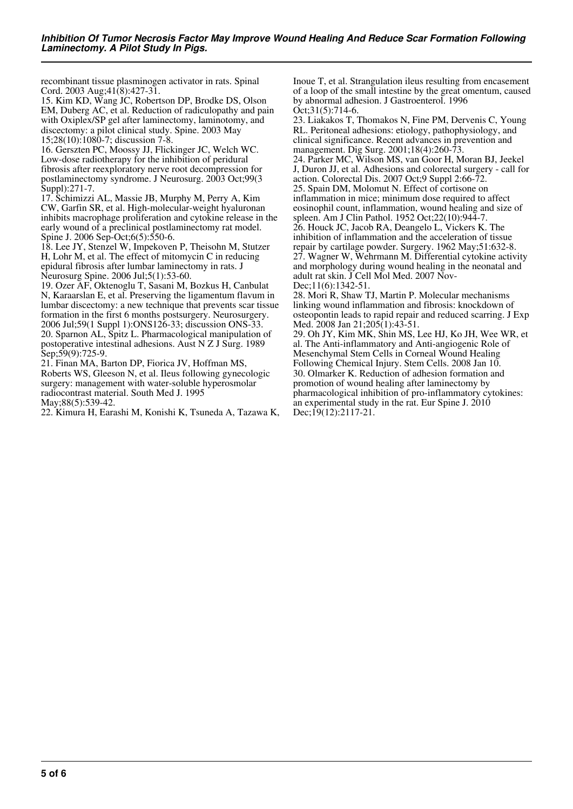recombinant tissue plasminogen activator in rats. Spinal Cord. 2003 Aug;41(8):427-31.

15. Kim KD, Wang JC, Robertson DP, Brodke DS, Olson EM, Duberg AC, et al. Reduction of radiculopathy and pain with Oxiplex/SP gel after laminectomy, laminotomy, and discectomy: a pilot clinical study. Spine. 2003 May 15;28(10):1080-7; discussion 7-8.

16. Gerszten PC, Moossy JJ, Flickinger JC, Welch WC. Low-dose radiotherapy for the inhibition of peridural fibrosis after reexploratory nerve root decompression for postlaminectomy syndrome. J Neurosurg. 2003 Oct;99(3 Suppl):271-7.

17. Schimizzi AL, Massie JB, Murphy M, Perry A, Kim CW, Garfin SR, et al. High-molecular-weight hyaluronan inhibits macrophage proliferation and cytokine release in the early wound of a preclinical postlaminectomy rat model. Spine J. 2006 Sep-Oct;6(5):550-6.

18. Lee JY, Stenzel W, Impekoven P, Theisohn M, Stutzer H, Lohr M, et al. The effect of mitomycin C in reducing epidural fibrosis after lumbar laminectomy in rats. J Neurosurg Spine. 2006 Jul;5(1):53-60.

19. Ozer AF, Oktenoglu T, Sasani M, Bozkus H, Canbulat N, Karaarslan E, et al. Preserving the ligamentum flavum in lumbar discectomy: a new technique that prevents scar tissue formation in the first 6 months postsurgery. Neurosurgery. 2006 Jul;59(1 Suppl 1):ONS126-33; discussion ONS-33. 20. Sparnon AL, Spitz L. Pharmacological manipulation of postoperative intestinal adhesions. Aust N Z J Surg. 1989 Sep;59(9):725-9.

21. Finan MA, Barton DP, Fiorica JV, Hoffman MS, Roberts WS, Gleeson N, et al. Ileus following gynecologic surgery: management with water-soluble hyperosmolar radiocontrast material. South Med J. 1995 May;88(5):539-42.

22. Kimura H, Earashi M, Konishi K, Tsuneda A, Tazawa K,

Inoue T, et al. Strangulation ileus resulting from encasement of a loop of the small intestine by the great omentum, caused by abnormal adhesion. J Gastroenterol. 1996 Oct;31(5):714-6.

23. Liakakos T, Thomakos N, Fine PM, Dervenis C, Young RL. Peritoneal adhesions: etiology, pathophysiology, and clinical significance. Recent advances in prevention and management. Dig Surg. 2001;18(4):260-73. 24. Parker MC, Wilson MS, van Goor H, Moran BJ, Jeekel J, Duron JJ, et al. Adhesions and colorectal surgery - call for action. Colorectal Dis. 2007 Oct;9 Suppl 2:66-72. 25. Spain DM, Molomut N. Effect of cortisone on inflammation in mice; minimum dose required to affect eosinophil count, inflammation, wound healing and size of spleen. Am J Clin Pathol. 1952 Oct;22(10):944-7. 26. Houck JC, Jacob RA, Deangelo L, Vickers K. The inhibition of inflammation and the acceleration of tissue repair by cartilage powder. Surgery. 1962 May;51:632-8. 27. Wagner W, Wehrmann M. Differential cytokine activity and morphology during wound healing in the neonatal and adult rat skin. J Cell Mol Med. 2007 Nov-Dec;11(6):1342-51.

28. Mori R, Shaw TJ, Martin P. Molecular mechanisms linking wound inflammation and fibrosis: knockdown of osteopontin leads to rapid repair and reduced scarring. J Exp Med. 2008 Jan 21;205(1):43-51.

29. Oh JY, Kim MK, Shin MS, Lee HJ, Ko JH, Wee WR, et al. The Anti-inflammatory and Anti-angiogenic Role of Mesenchymal Stem Cells in Corneal Wound Healing Following Chemical Injury. Stem Cells. 2008 Jan 10. 30. Olmarker K. Reduction of adhesion formation and promotion of wound healing after laminectomy by pharmacological inhibition of pro-inflammatory cytokines: an experimental study in the rat. Eur Spine J. 2010 Dec;19(12):2117-21.